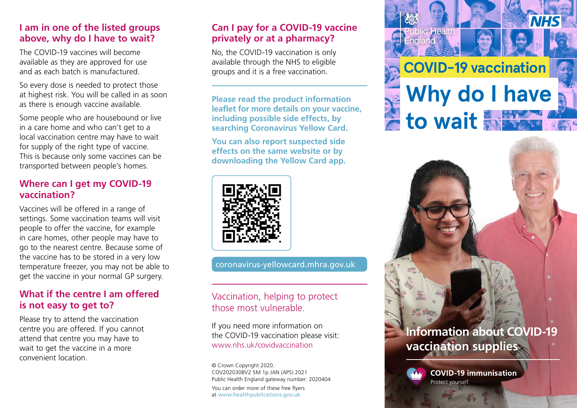### **I am in one of the listed groups above, why do I have to wait?**

The COVID-19 vaccines will become available as they are approved for use and as each batch is manufactured.

So every dose is needed to protect those at highest risk. You will be called in as soon as there is enough vaccine available.

Some people who are housebound or live in a care home and who can't get to a local vaccination centre may have to wait for supply of the right type of vaccine. This is because only some vaccines can be transported between people's homes.

## **Where can I get my COVID-19 vaccination?**

Vaccines will be offered in a range of settings. Some vaccination teams will visit people to offer the vaccine, for example in care homes, other people may have to go to the nearest centre. Because some of the vaccine has to be stored in a very low temperature freezer, you may not be able to get the vaccine in your normal GP surgery.

## **What if the centre I am offered is not easy to get to?**

Please try to attend the vaccination centre you are offered. If you cannot attend that centre you may have to wait to get the vaccine in a more convenient location.

### **Can I pay for a COVID-19 vaccine privately or at a pharmacy?**

No, the COVID-19 vaccination is only available through the NHS to eligible groups and it is a free vaccination.

**Please read the product information leaflet for more details on your vaccine, including possible side effects, by searching Coronavirus Yellow Card.**

**You can also report suspected side effects on the same website or by downloading the Yellow Card app.**



[coronavirus-yellowcard.mhra.gov.uk](https://coronavirus-yellowcard.mhra.gov.uk/)

## Vaccination, helping to protect those most vulnerable.

If you need more information on the COVID-19 vaccination please visit: www.nhs.uk/covidvaccination

© Crown Copyright 2020. COV2020308V2 5M 1p JAN (APS) 2021 Public Health England gateway number: 2020404 You can order more of these free flyers at [www.healthpublications.gov.uk](https://www.healthpublications.gov.uk)



# **Information about COVID-19 vaccination supplies**



**COVID-19 immunisation**